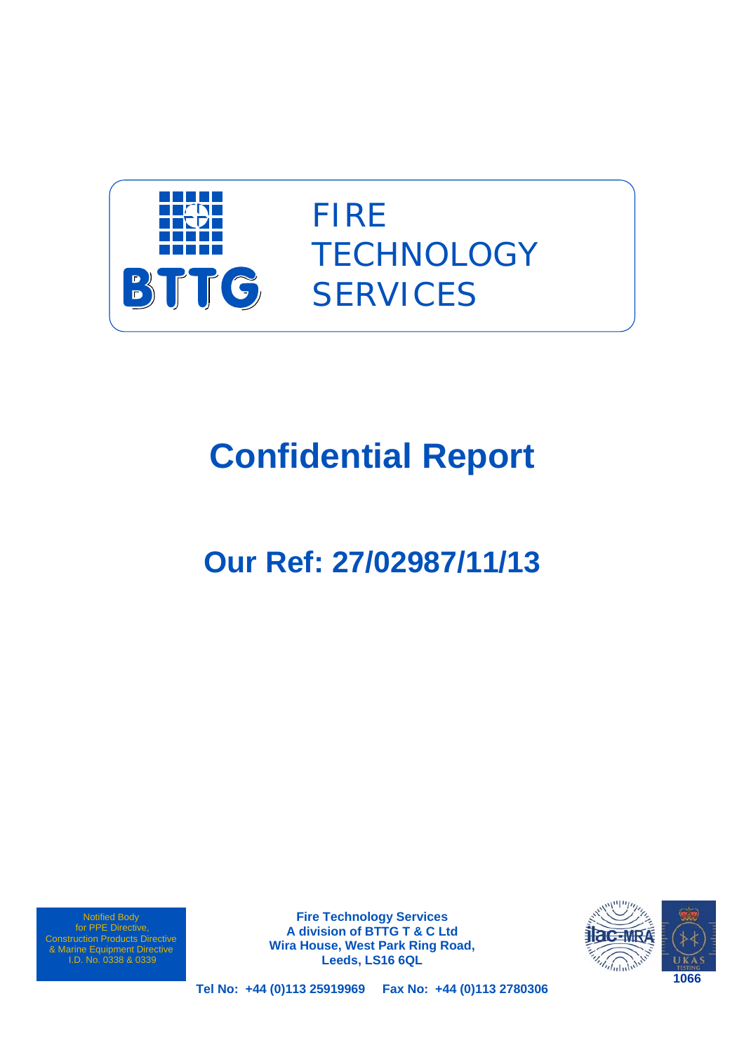

FIRE **TECHNOLOGY SERVICES** 

# **Confidential Report**

# **Our Ref: 27/02987/11/13**

Notified Body for PPE Directive, Construction Products Directive & Marine Equipment Directive I.D. No. 0338 & 0339

**Fire Technology Services A division of BTTG T & C Ltd Wira House, West Park Ring Road, Leeds, LS16 6QL** 



**Tel No: +44 (0)113 25919969 Fax No: +44 (0)113 2780306**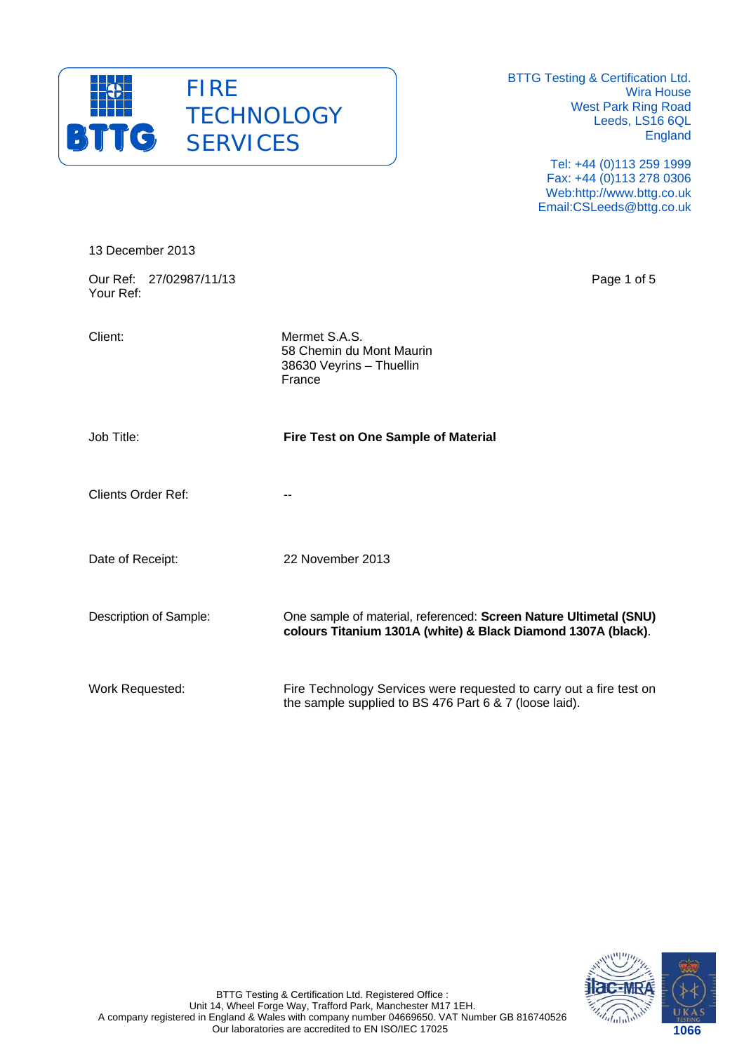

> Tel: +44 (0)113 259 1999 Fax: +44 (0)113 278 0306 Web:http://www.bttg.co.uk Email:CSLeeds@bttg.co.uk

| 13 December 2013                     |                                                                                                                                    |
|--------------------------------------|------------------------------------------------------------------------------------------------------------------------------------|
| Our Ref: 27/02987/11/13<br>Your Ref: | Page 1 of 5                                                                                                                        |
| Client:                              | Mermet S.A.S.<br>58 Chemin du Mont Maurin<br>38630 Veyrins - Thuellin<br>France                                                    |
| Job Title:                           | Fire Test on One Sample of Material                                                                                                |
| <b>Clients Order Ref:</b>            |                                                                                                                                    |
| Date of Receipt:                     | 22 November 2013                                                                                                                   |
| Description of Sample:               | One sample of material, referenced: Screen Nature Ultimetal (SNU)<br>colours Titanium 1301A (white) & Black Diamond 1307A (black). |
| Work Requested:                      | Fire Technology Services were requested to carry out a fire test on<br>the sample supplied to BS 476 Part 6 & 7 (loose laid).      |

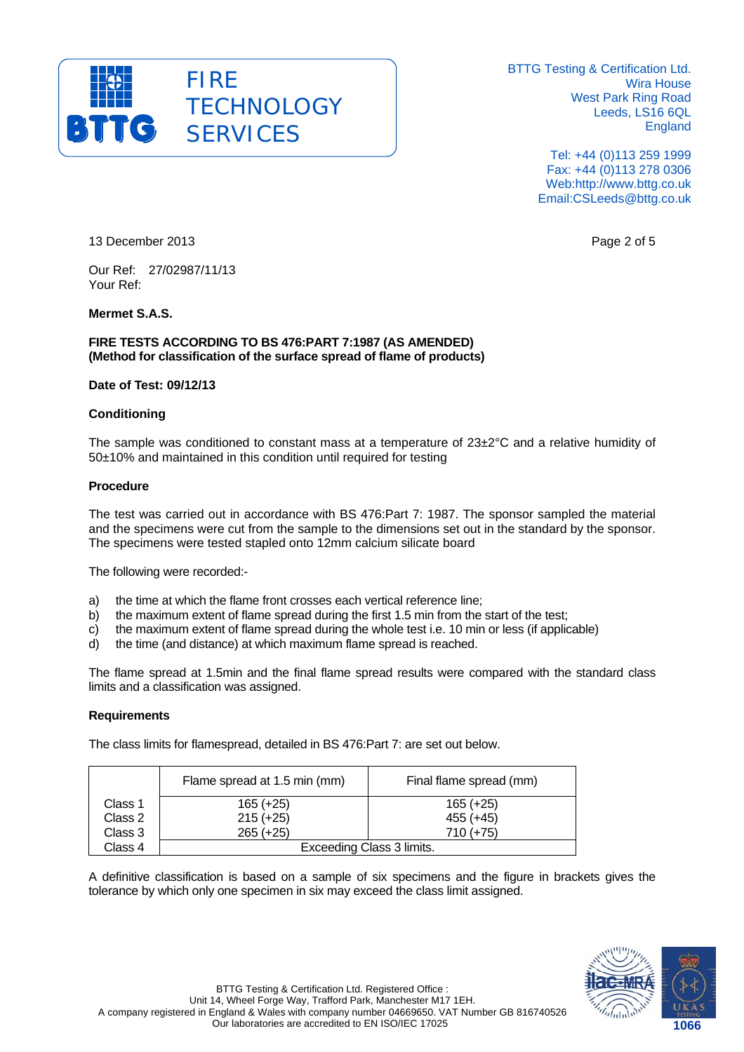

> Tel: +44 (0)113 259 1999 Fax: +44 (0)113 278 0306 Web:http://www.bttg.co.uk Email:CSLeeds@bttg.co.uk

13 December 2013 **Page 2 of 5 Page 2 of 5** 

Our Ref: 27/02987/11/13 Your Ref:

# **Mermet S.A.S.**

**FIRE TESTS ACCORDING TO BS 476:PART 7:1987 (AS AMENDED) (Method for classification of the surface spread of flame of products)** 

#### **Date of Test: 09/12/13**

# **Conditioning**

The sample was conditioned to constant mass at a temperature of 23±2°C and a relative humidity of 50±10% and maintained in this condition until required for testing

# **Procedure**

The test was carried out in accordance with BS 476:Part 7: 1987. The sponsor sampled the material and the specimens were cut from the sample to the dimensions set out in the standard by the sponsor. The specimens were tested stapled onto 12mm calcium silicate board

The following were recorded:-

- a) the time at which the flame front crosses each vertical reference line;
- b) the maximum extent of flame spread during the first 1.5 min from the start of the test;
- c) the maximum extent of flame spread during the whole test i.e. 10 min or less (if applicable)
- d) the time (and distance) at which maximum flame spread is reached.

The flame spread at 1.5min and the final flame spread results were compared with the standard class limits and a classification was assigned.

#### **Requirements**

The class limits for flamespread, detailed in BS 476:Part 7: are set out below.

|         | Flame spread at 1.5 min (mm) | Final flame spread (mm) |  |  |  |
|---------|------------------------------|-------------------------|--|--|--|
| Class 1 | $165 (+25)$                  | $165 (+25)$             |  |  |  |
| Class 2 | $215 (+25)$                  | $455 (+45)$             |  |  |  |
| Class 3 | $265 (+25)$                  | $710 (+75)$             |  |  |  |
| Class 4 | Exceeding Class 3 limits.    |                         |  |  |  |

A definitive classification is based on a sample of six specimens and the figure in brackets gives the tolerance by which only one specimen in six may exceed the class limit assigned.

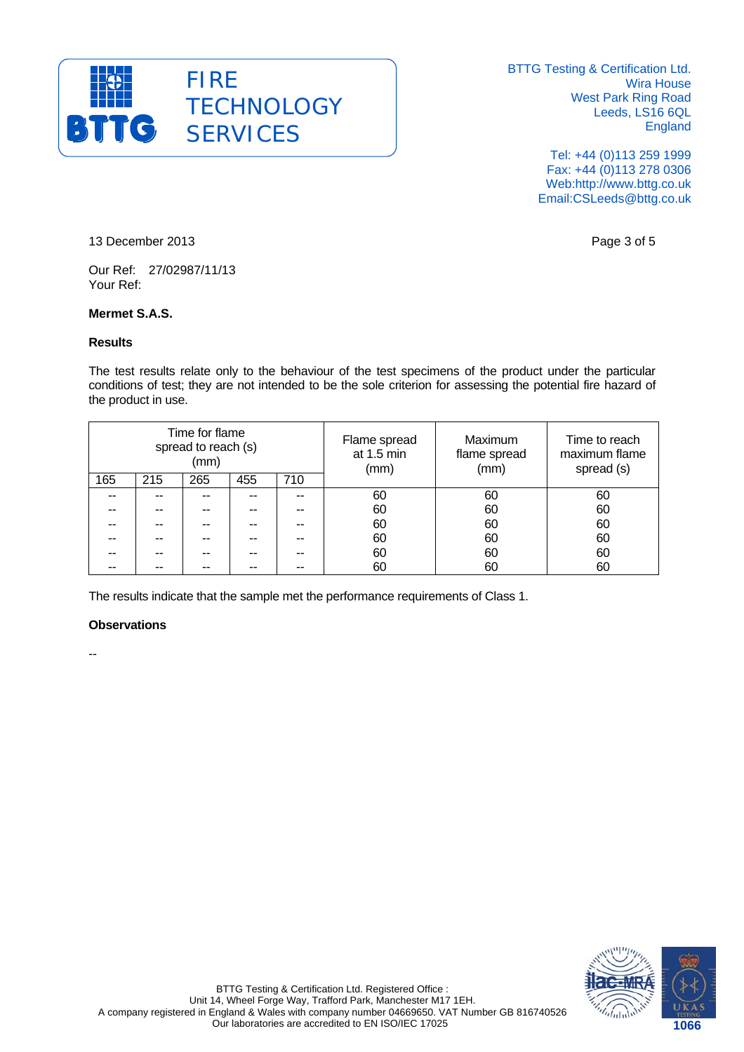

> Tel: +44 (0)113 259 1999 Fax: +44 (0)113 278 0306 Web:http://www.bttg.co.uk Email:CSLeeds@bttg.co.uk

13 December 2013 **Page 3 of 5** 

Our Ref: 27/02987/11/13 Your Ref:

# **Mermet S.A.S.**

#### **Results**

The test results relate only to the behaviour of the test specimens of the product under the particular conditions of test; they are not intended to be the sole criterion for assessing the potential fire hazard of the product in use.

| Time for flame<br>spread to reach (s)<br>(mm) |     |     | Flame spread<br>at 1.5 min<br>(mm) | Maximum<br>flame spread<br>(mm) | Time to reach<br>maximum flame<br>spread (s) |    |    |
|-----------------------------------------------|-----|-----|------------------------------------|---------------------------------|----------------------------------------------|----|----|
| 165                                           | 215 | 265 | 455                                | 710                             |                                              |    |    |
| --                                            |     |     |                                    |                                 | 60                                           | 60 | 60 |
| --                                            | --  | --  |                                    |                                 | 60                                           | 60 | 60 |
| --                                            | --  | --  |                                    |                                 | 60                                           | 60 | 60 |
| --                                            | --  | --  |                                    |                                 | 60                                           | 60 | 60 |
|                                               |     |     |                                    |                                 | 60                                           | 60 | 60 |
|                                               |     |     |                                    |                                 | 60                                           | 60 | 60 |

The results indicate that the sample met the performance requirements of Class 1.

# **Observations**

--

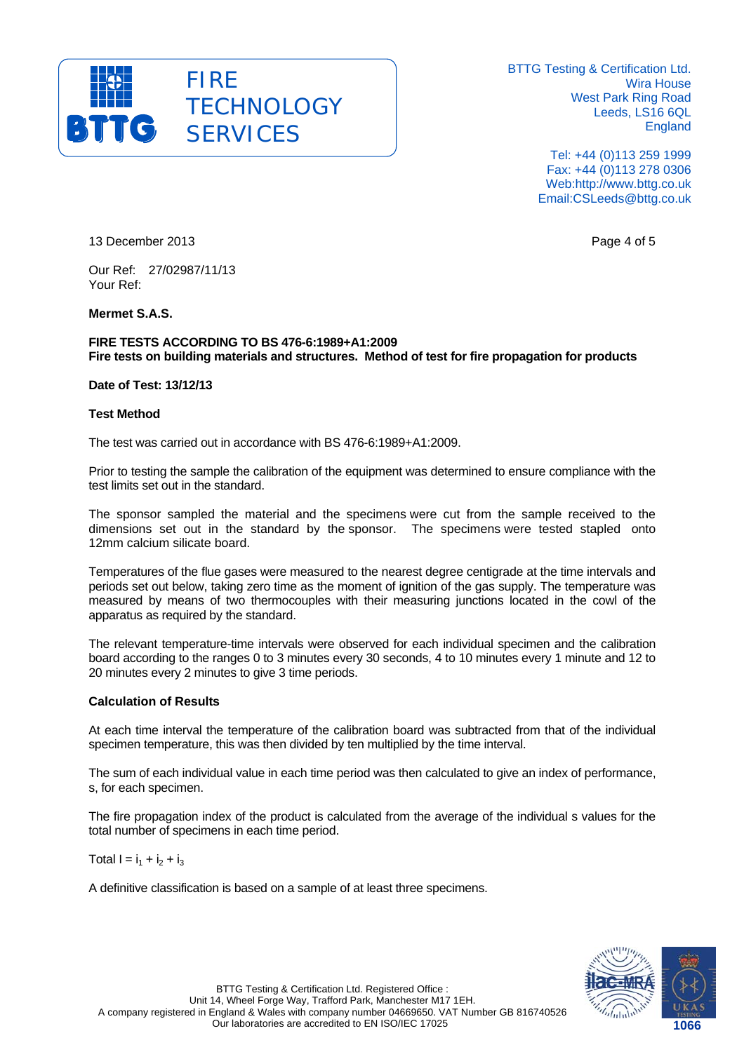

> Tel: +44 (0)113 259 1999 Fax: +44 (0)113 278 0306 Web:http://www.bttg.co.uk Email:CSLeeds@bttg.co.uk

13 December 2013 **Page 4 of 5** Page 4 of 5

Our Ref: 27/02987/11/13 Your Ref:

**Mermet S.A.S.** 

**FIRE TESTS ACCORDING TO BS 476-6:1989+A1:2009 Fire tests on building materials and structures. Method of test for fire propagation for products** 

**Date of Test: 13/12/13** 

#### **Test Method**

The test was carried out in accordance with BS 476-6:1989+A1:2009.

Prior to testing the sample the calibration of the equipment was determined to ensure compliance with the test limits set out in the standard.

The sponsor sampled the material and the specimens were cut from the sample received to the dimensions set out in the standard by the sponsor. The specimens were tested stapled onto 12mm calcium silicate board.

Temperatures of the flue gases were measured to the nearest degree centigrade at the time intervals and periods set out below, taking zero time as the moment of ignition of the gas supply. The temperature was measured by means of two thermocouples with their measuring junctions located in the cowl of the apparatus as required by the standard.

The relevant temperature-time intervals were observed for each individual specimen and the calibration board according to the ranges 0 to 3 minutes every 30 seconds, 4 to 10 minutes every 1 minute and 12 to 20 minutes every 2 minutes to give 3 time periods.

#### **Calculation of Results**

At each time interval the temperature of the calibration board was subtracted from that of the individual specimen temperature, this was then divided by ten multiplied by the time interval.

The sum of each individual value in each time period was then calculated to give an index of performance, s, for each specimen.

The fire propagation index of the product is calculated from the average of the individual s values for the total number of specimens in each time period.

Total  $I = i_1 + i_2 + i_3$ 

A definitive classification is based on a sample of at least three specimens.